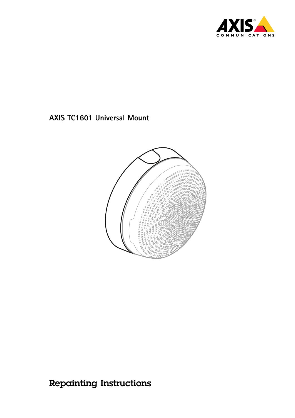



Repainting Instructions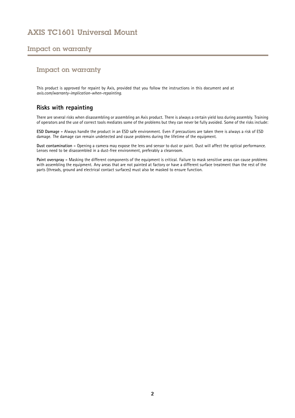#### Impact on warranty

#### Impact on warranty

This product is approved for repaint by Axis, provided that you follow the instructions in this document and at *[axis.com/warranty-implication-when-repainting](https://www.axis.com/warranty-implication-when-repainting)*.

#### **Risks with repainting**

There are several risks when disassembling or assembling an Axis product. There is always <sup>a</sup> certain yield loss during assembly. Training of operators and the use of correct tools mediates some of the problems but they can never be fully avoided. Some of the risks include:

**ESD Damage -** Always handle the product in an ESD safe environment. Even if precautions are taken there is always <sup>a</sup> risk of ESD damage. The damage can remain undetected and cause problems during the lifetime of the equipment.

**Dust contamination -** Opening <sup>a</sup> camera may expose the lens and sensor to dust or paint. Dust will affect the optical performance. Lenses need to be disassembled in <sup>a</sup> dust-free environment, preferably <sup>a</sup> cleanroom.

**Paint overspray -** Masking the different components of the equipment is critical. Failure to mask sensitive areas can cause problems with assembling the equipment. Any areas that are not painted at factory or have <sup>a</sup> different surface treatment than the rest of the parts (threads, ground and electrical contact surfaces) must also be masked to ensure function.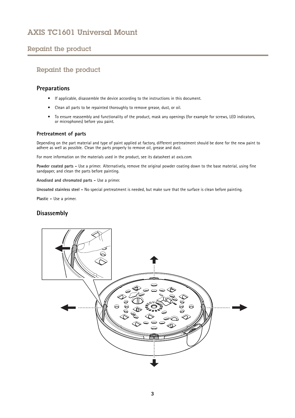### <span id="page-2-0"></span>Repaint the product

### Repaint the product

#### **Preparations**

- If applicable, disassemble the device according to the instructions in this document.
- •Clean all parts to be repainted thoroughly to remove grease, dust, or oil.
- • To ensure reassembly and functionality of the product, mask any openings (for example for screws, LED indicators, or microphones) before you paint.

#### **Pretreatment of parts**

Depending on the part material and type of paint applied at factory, different pretreatment should be done for the new paint to adhere as well as possible. Clean the parts properly to remove oil, grease and dust.

For more information on the materials used in the product, see its datasheet at *[axis.com](https://www.axis.com)*.

**Powder coated parts -** Use <sup>a</sup> primer. Alternatively, remove the original powder coating down to the base material, using fine sandpaper, and clean the parts before painting.

**Anodised and chromated parts -** Use <sup>a</sup> primer.

**Uncoated stainless steel -** No special pretreatment is needed, but make sure that the surface is clean before painting.

**Plastic -** Use <sup>a</sup> primer.

#### **Disassembly**

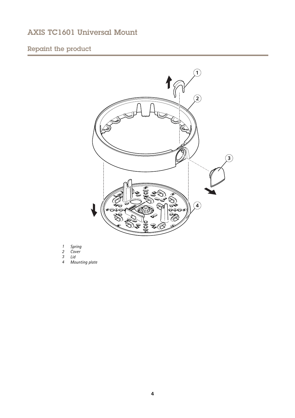# Repaint the product



- *1 Spring*
- *2 Cover*
- *3 Lid*
- *<sup>4</sup> Mounting plate*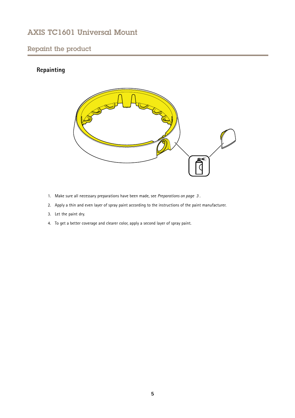### Repaint the product

### **Repainting**



- 1. Make sure all necessary preparations have been made, see *[Preparations](#page-2-0) on page [3](#page-2-0)* .
- 2. Apply <sup>a</sup> thin and even layer of spray paint according to the instructions of the paint manufacturer.
- 3. Let the paint dry.
- 4. To get <sup>a</sup> better coverage and clearer color, apply <sup>a</sup> second layer of spray paint.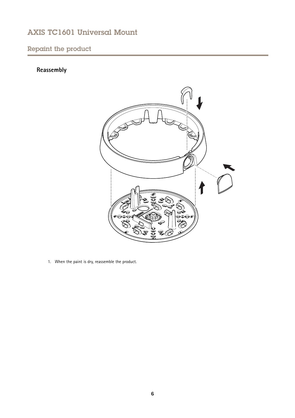## Repaint the product

# **Reassembly**



1. When the paint is dry, reassemble the product.